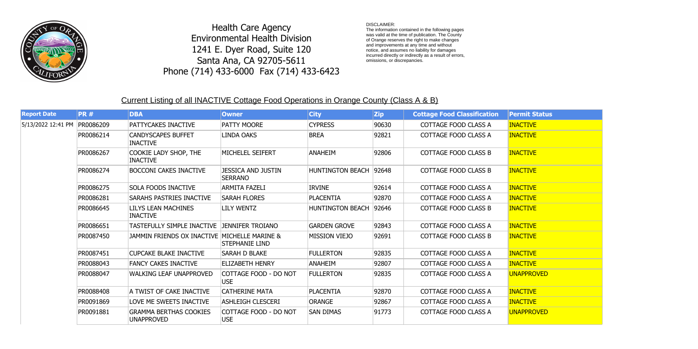## Current Listing of all INACTIVE Cottage Food Operations in Orange County (Class A & B)

| <b>Report Date</b> | <b>PR#</b> | <b>DBA</b>                                         | <b>Owner</b>                                | <b>City</b>             | <b>Zip</b> | <b>Cottage Food Classification</b> | <b>Permit Status</b> |
|--------------------|------------|----------------------------------------------------|---------------------------------------------|-------------------------|------------|------------------------------------|----------------------|
| 5/13/2022 12:41 PM | PR0086209  | PATTYCAKES INACTIVE                                | PATTY MOORE                                 | <b>CYPRESS</b>          | 90630      | <b>COTTAGE FOOD CLASS A</b>        | <b>INACTIVE</b>      |
|                    | PR0086214  | <b>CANDYSCAPES BUFFET</b><br><b>INACTIVE</b>       | <b>LINDA OAKS</b>                           | <b>BREA</b>             | 92821      | COTTAGE FOOD CLASS A               | <b>INACTIVE</b>      |
|                    | PR0086267  | COOKIE LADY SHOP, THE<br><b>INACTIVE</b>           | MICHELEL SEIFERT                            | <b>ANAHEIM</b>          | 92806      | <b>COTTAGE FOOD CLASS B</b>        | <b>INACTIVE</b>      |
|                    | PR0086274  | <b>BOCCONI CAKES INACTIVE</b>                      | <b>JESSICA AND JUSTIN</b><br><b>SERRANO</b> | <b>HUNTINGTON BEACH</b> | 92648      | <b>COTTAGE FOOD CLASS B</b>        | <b>INACTIVE</b>      |
|                    | PR0086275  | <b>SOLA FOODS INACTIVE</b>                         | <b>ARMITA FAZELI</b>                        | <b>IRVINE</b>           | 92614      | COTTAGE FOOD CLASS A               | <b>INACTIVE</b>      |
|                    | PR0086281  | <b>SARAHS PASTRIES INACTIVE</b>                    | <b>SARAH FLORES</b>                         | <b>PLACENTIA</b>        | 92870      | <b>COTTAGE FOOD CLASS A</b>        | <b>INACTIVE</b>      |
|                    | PR0086645  | LILYS LEAN MACHINES<br><b>INACTIVE</b>             | <b>LILY WENTZ</b>                           | <b>HUNTINGTON BEACH</b> | 92646      | <b>COTTAGE FOOD CLASS B</b>        | <b>INACTIVE</b>      |
|                    | PR0086651  | TASTEFULLY SIMPLE INACTIVE JENNIFER TROIANO        |                                             | <b>GARDEN GROVE</b>     | 92843      | COTTAGE FOOD CLASS A               | <b>INACTIVE</b>      |
|                    | PR0087450  | JAMMIN FRIENDS OX INACTIVE MICHELLE MARINE &       | <b>STEPHANIE LIND</b>                       | <b>MISSION VIEJO</b>    | 92691      | <b>COTTAGE FOOD CLASS B</b>        | <b>INACTIVE</b>      |
|                    | PR0087451  | <b>CUPCAKE BLAKE INACTIVE</b>                      | SARAH D BLAKE                               | <b>FULLERTON</b>        | 92835      | <b>COTTAGE FOOD CLASS A</b>        | <b>INACTIVE</b>      |
|                    | PR0088043  | <b>FANCY CAKES INACTIVE</b>                        | <b>ELIZABETH HENRY</b>                      | <b>ANAHEIM</b>          | 92807      | COTTAGE FOOD CLASS A               | <b>INACTIVE</b>      |
|                    | PR0088047  | <b>WALKING LEAF UNAPPROVED</b>                     | COTTAGE FOOD - DO NOT<br><b>USE</b>         | <b>FULLERTON</b>        | 92835      | COTTAGE FOOD CLASS A               | <b>UNAPPROVED</b>    |
|                    | PR0088408  | A TWIST OF CAKE INACTIVE                           | <b>CATHERINE MATA</b>                       | <b>PLACENTIA</b>        | 92870      | COTTAGE FOOD CLASS A               | <b>INACTIVE</b>      |
|                    | PR0091869  | LOVE ME SWEETS INACTIVE                            | <b>ASHLEIGH CLESCERI</b>                    | ORANGE                  | 92867      | COTTAGE FOOD CLASS A               | <b>INACTIVE</b>      |
|                    | PR0091881  | <b>GRAMMA BERTHAS COOKIES</b><br><b>UNAPPROVED</b> | COTTAGE FOOD - DO NOT<br><b>USE</b>         | <b>SAN DIMAS</b>        | 91773      | COTTAGE FOOD CLASS A               | <b>UNAPPROVED</b>    |

DISCLAIMER:

The information contained in the following pages was valid at the time of publication. The County of Orange reserves the right to make changes and improvements at any time and without notice, and assumes no liability for damages incurred directly or indirectly as a result of errors, omissions, or discrepancies.



Health Care Agency Environmental Health Division 1241 E. Dyer Road, Suite 120 Santa Ana, CA 92705-5611 Phone (714) 433-6000 Fax (714) 433-6423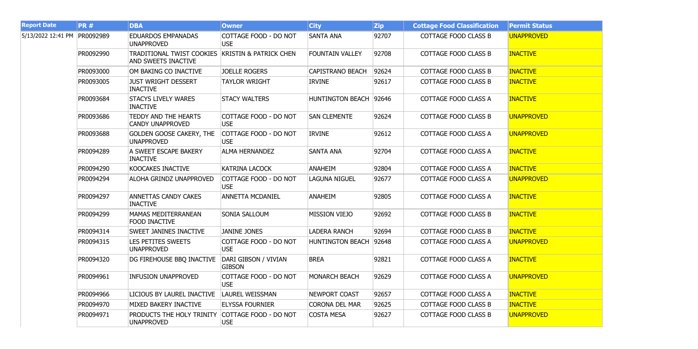| <b>Report Date</b> | <b>PR#</b> | <b>DBA</b>                                              | <b>Owner</b>                          | <b>City</b>             | <b>Zip</b> | <b>Cottage Food Classification</b> | <b>Permit Status</b> |
|--------------------|------------|---------------------------------------------------------|---------------------------------------|-------------------------|------------|------------------------------------|----------------------|
| 5/13/2022 12:41 PM | PR0092989  | <b>EDUARDOS EMPANADAS</b><br><b>UNAPPROVED</b>          | COTTAGE FOOD - DO NOT<br><b>USE</b>   | <b>SANTA ANA</b>        | 92707      | <b>COTTAGE FOOD CLASS B</b>        | <b>UNAPPROVED</b>    |
|                    | PR0092990  | TRADITIONAL TWIST COOKIES<br><b>AND SWEETS INACTIVE</b> | <b>KRISTIN &amp; PATRICK CHEN</b>     | <b>FOUNTAIN VALLEY</b>  | 92708      | <b>COTTAGE FOOD CLASS B</b>        | <b>INACTIVE</b>      |
|                    | PR0093000  | OM BAKING CO INACTIVE                                   | <b>JOELLE ROGERS</b>                  | <b>CAPISTRANO BEACH</b> | 92624      | <b>COTTAGE FOOD CLASS B</b>        | <b>INACTIVE</b>      |
|                    | PR0093005  | <b>JUST WRIGHT DESSERT</b><br><b>INACTIVE</b>           | <b>TAYLOR WRIGHT</b>                  | <b>IRVINE</b>           | 92617      | <b>COTTAGE FOOD CLASS B</b>        | <b>INACTIVE</b>      |
|                    | PR0093684  | <b>STACYS LIVELY WARES</b><br><b>INACTIVE</b>           | <b>STACY WALTERS</b>                  | HUNTINGTON BEACH 92646  |            | COTTAGE FOOD CLASS A               | <b>INACTIVE</b>      |
|                    | PR0093686  | TEDDY AND THE HEARTS<br><b>CANDY UNAPPROVED</b>         | COTTAGE FOOD - DO NOT<br><b>USE</b>   | <b>SAN CLEMENTE</b>     | 92624      | <b>COTTAGE FOOD CLASS B</b>        | <b>UNAPPROVED</b>    |
|                    | PR0093688  | <b>GOLDEN GOOSE CAKERY, THE</b><br><b>UNAPPROVED</b>    | COTTAGE FOOD - DO NOT<br><b>USE</b>   | <b>IRVINE</b>           | 92612      | COTTAGE FOOD CLASS A               | <b>UNAPPROVED</b>    |
|                    | PR0094289  | A SWEET ESCAPE BAKERY<br><b>INACTIVE</b>                | <b>ALMA HERNANDEZ</b>                 | <b>SANTA ANA</b>        | 92704      | COTTAGE FOOD CLASS A               | <b>INACTIVE</b>      |
|                    | PR0094290  | <b>KOOCAKES INACTIVE</b>                                | <b>KATRINA LACOCK</b>                 | <b>ANAHEIM</b>          | 92804      | <b>COTTAGE FOOD CLASS A</b>        | <b>INACTIVE</b>      |
|                    | PR0094294  | <b>ALOHA GRINDZ UNAPPROVED</b>                          | COTTAGE FOOD - DO NOT<br><b>USE</b>   | <b>LAGUNA NIGUEL</b>    | 92677      | COTTAGE FOOD CLASS A               | <b>UNAPPROVED</b>    |
|                    | PR0094297  | <b>ANNETTAS CANDY CAKES</b><br><b>INACTIVE</b>          | <b>ANNETTA MCDANIEL</b>               | <b>ANAHEIM</b>          | 92805      | <b>COTTAGE FOOD CLASS A</b>        | <b>INACTIVE</b>      |
|                    | PR0094299  | <b>MAMAS MEDITERRANEAN</b><br><b>FOOD INACTIVE</b>      | <b>SONIA SALLOUM</b>                  | <b>MISSION VIEJO</b>    | 92692      | <b>COTTAGE FOOD CLASS B</b>        | <b>INACTIVE</b>      |
|                    | PR0094314  | <b>SWEET JANINES INACTIVE</b>                           | <b>JANINE JONES</b>                   | <b>LADERA RANCH</b>     | 92694      | <b>COTTAGE FOOD CLASS B</b>        | <b>INACTIVE</b>      |
|                    | PR0094315  | <b>LES PETITES SWEETS</b><br><b>UNAPPROVED</b>          | COTTAGE FOOD - DO NOT<br><b>USE</b>   | <b>HUNTINGTON BEACH</b> | 92648      | COTTAGE FOOD CLASS A               | <b>UNAPPROVED</b>    |
|                    | PR0094320  | DG FIREHOUSE BBQ INACTIVE                               | DARI GIBSON / VIVIAN<br><b>GIBSON</b> | <b>BREA</b>             | 92821      | <b>COTTAGE FOOD CLASS A</b>        | <b>INACTIVE</b>      |
|                    | PR0094961  | <b>INFUSION UNAPPROVED</b>                              | COTTAGE FOOD - DO NOT<br><b>USE</b>   | MONARCH BEACH           | 92629      | COTTAGE FOOD CLASS A               | <b>UNAPPROVED</b>    |
|                    | PR0094966  | LICIOUS BY LAUREL INACTIVE                              | LAUREL WEISSMAN                       | <b>NEWPORT COAST</b>    | 92657      | COTTAGE FOOD CLASS A               | <b>INACTIVE</b>      |
|                    | PR0094970  | <b>MIXED BAKERY INACTIVE</b>                            | <b>ELYSSA FOURNIER</b>                | <b>CORONA DEL MAR</b>   | 92625      | <b>COTTAGE FOOD CLASS B</b>        | <b>INACTIVE</b>      |
|                    | PR0094971  | PRODUCTS THE HOLY TRINITY<br><b>UNAPPROVED</b>          | COTTAGE FOOD - DO NOT<br><b>USE</b>   | <b>COSTA MESA</b>       | 92627      | <b>COTTAGE FOOD CLASS B</b>        | <b>UNAPPROVED</b>    |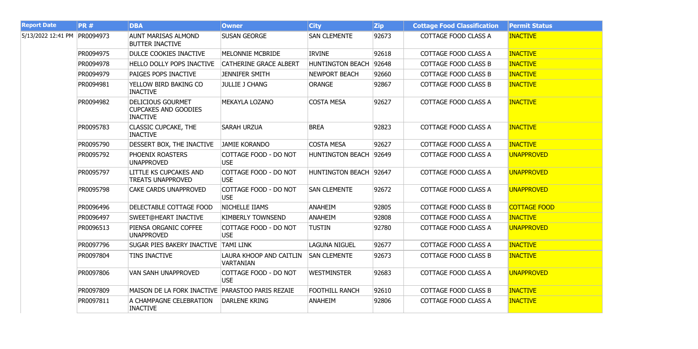| <b>Report Date</b>           | <b>PR#</b> | <b>DBA</b>                                                                 | <b>Owner</b>                                | <b>City</b>             | Zip   | <b>Cottage Food Classification</b> | <b>Permit Status</b> |
|------------------------------|------------|----------------------------------------------------------------------------|---------------------------------------------|-------------------------|-------|------------------------------------|----------------------|
| 5/13/2022 12:41 PM PR0094973 |            | <b>AUNT MARISAS ALMOND</b><br><b>BUTTER INACTIVE</b>                       | <b>SUSAN GEORGE</b>                         | <b>SAN CLEMENTE</b>     | 92673 | COTTAGE FOOD CLASS A               | <b>INACTIVE</b>      |
|                              | PR0094975  | DULCE COOKIES INACTIVE                                                     | MELONNIE MCBRIDE                            | <b>IRVINE</b>           | 92618 | COTTAGE FOOD CLASS A               | <b>INACTIVE</b>      |
|                              | PR0094978  | HELLO DOLLY POPS INACTIVE                                                  | <b>CATHERINE GRACE ALBERT</b>               | <b>HUNTINGTON BEACH</b> | 92648 | COTTAGE FOOD CLASS B               | <b>INACTIVE</b>      |
|                              | PR0094979  | PAIGES POPS INACTIVE                                                       | <b>JENNIFER SMITH</b>                       | <b>NEWPORT BEACH</b>    | 92660 | COTTAGE FOOD CLASS B               | <b>INACTIVE</b>      |
|                              | PR0094981  | YELLOW BIRD BAKING CO<br><b>INACTIVE</b>                                   | <b>JULLIE J CHANG</b>                       | <b>ORANGE</b>           | 92867 | COTTAGE FOOD CLASS B               | <b>INACTIVE</b>      |
|                              | PR0094982  | <b>DELICIOUS GOURMET</b><br><b>CUPCAKES AND GOODIES</b><br><b>INACTIVE</b> | MEKAYLA LOZANO                              | <b>COSTA MESA</b>       | 92627 | COTTAGE FOOD CLASS A               | <b>INACTIVE</b>      |
|                              | PR0095783  | <b>CLASSIC CUPCAKE, THE</b><br><b>INACTIVE</b>                             | <b>SARAH URZUA</b>                          | <b>BREA</b>             | 92823 | COTTAGE FOOD CLASS A               | <b>INACTIVE</b>      |
|                              | PR0095790  | DESSERT BOX, THE INACTIVE                                                  | JAMIE KORANDO                               | <b>COSTA MESA</b>       | 92627 | COTTAGE FOOD CLASS A               | <b>INACTIVE</b>      |
|                              | PR0095792  | PHOENIX ROASTERS<br><b>UNAPPROVED</b>                                      | COTTAGE FOOD - DO NOT<br><b>USE</b>         | <b>HUNTINGTON BEACH</b> | 92649 | COTTAGE FOOD CLASS A               | <b>UNAPPROVED</b>    |
|                              | PR0095797  | <b>LITTLE KS CUPCAKES AND</b><br><b>TREATS UNAPPROVED</b>                  | COTTAGE FOOD - DO NOT<br>USE                | HUNTINGTON BEACH 92647  |       | <b>COTTAGE FOOD CLASS A</b>        | <b>UNAPPROVED</b>    |
|                              | PR0095798  | <b>CAKE CARDS UNAPPROVED</b>                                               | COTTAGE FOOD - DO NOT<br><b>USE</b>         | <b>SAN CLEMENTE</b>     | 92672 | COTTAGE FOOD CLASS A               | <b>UNAPPROVED</b>    |
|                              | PR0096496  | DELECTABLE COTTAGE FOOD                                                    | NICHELLE IIAMS                              | ANAHEIM                 | 92805 | <b>COTTAGE FOOD CLASS B</b>        | <b>COTTAGE FOOD</b>  |
|                              | PR0096497  | <b>SWEET@HEART INACTIVE</b>                                                | <b>KIMBERLY TOWNSEND</b>                    | <b>ANAHEIM</b>          | 92808 | COTTAGE FOOD CLASS A               | <b>INACTIVE</b>      |
|                              | PR0096513  | PIENSA ORGANIC COFFEE<br><b>UNAPPROVED</b>                                 | COTTAGE FOOD - DO NOT<br>USE                | <b>TUSTIN</b>           | 92780 | COTTAGE FOOD CLASS A               | <b>UNAPPROVED</b>    |
|                              | PR0097796  | <b>SUGAR PIES BAKERY INACTIVE</b>                                          | <b>TAMI LINK</b>                            | <b>LAGUNA NIGUEL</b>    | 92677 | COTTAGE FOOD CLASS A               | <b>INACTIVE</b>      |
|                              | PR0097804  | <b>TINS INACTIVE</b>                                                       | LAURA KHOOP AND CAITLIN<br><b>VARTANIAN</b> | <b>SAN CLEMENTE</b>     | 92673 | <b>COTTAGE FOOD CLASS B</b>        | <b>INACTIVE</b>      |
|                              | PR0097806  | <b>VAN SANH UNAPPROVED</b>                                                 | COTTAGE FOOD - DO NOT<br><b>USE</b>         | <b>WESTMINSTER</b>      | 92683 | COTTAGE FOOD CLASS A               | <b>UNAPPROVED</b>    |
|                              | PR0097809  | MAISON DE LA FORK INACTIVE   PARASTOO PARIS REZAIE                         |                                             | <b>FOOTHILL RANCH</b>   | 92610 | <b>COTTAGE FOOD CLASS B</b>        | <b>INACTIVE</b>      |
|                              | PR0097811  | A CHAMPAGNE CELEBRATION<br><b>INACTIVE</b>                                 | <b>DARLENE KRING</b>                        | <b>ANAHEIM</b>          | 92806 | COTTAGE FOOD CLASS A               | <b>INACTIVE</b>      |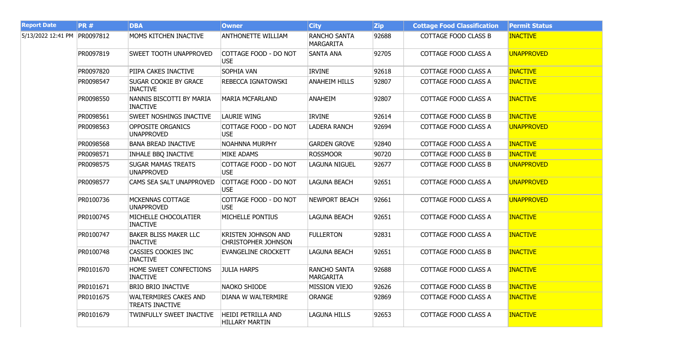| <b>Report Date</b>           | <b>PR#</b> | <b>DBA</b>                                             | <b>Owner</b>                                             | <b>City</b>                             | <b>Zip</b> | <b>Cottage Food Classification</b> | <b>Permit Status</b> |
|------------------------------|------------|--------------------------------------------------------|----------------------------------------------------------|-----------------------------------------|------------|------------------------------------|----------------------|
| 5/13/2022 12:41 PM PR0097812 |            | MOMS KITCHEN INACTIVE                                  | <b>ANTHONETTE WILLIAM</b>                                | <b>RANCHO SANTA</b><br>MARGARITA        | 92688      | <b>COTTAGE FOOD CLASS B</b>        | <b>INACTIVE</b>      |
|                              | PR0097819  | <b>SWEET TOOTH UNAPPROVED</b>                          | COTTAGE FOOD - DO NOT<br><b>USE</b>                      | <b>SANTA ANA</b>                        | 92705      | <b>COTTAGE FOOD CLASS A</b>        | <b>UNAPPROVED</b>    |
|                              | PR0097820  | PIIPA CAKES INACTIVE                                   | <b>SOPHIA VAN</b>                                        | <b>IRVINE</b>                           | 92618      | <b>COTTAGE FOOD CLASS A</b>        | <b>INACTIVE</b>      |
|                              | PR0098547  | <b>SUGAR COOKIE BY GRACE</b><br><b>INACTIVE</b>        | <b>REBECCA IGNATOWSKI</b>                                | <b>ANAHEIM HILLS</b>                    | 92807      | COTTAGE FOOD CLASS A               | <b>INACTIVE</b>      |
|                              | PR0098550  | NANNIS BISCOTTI BY MARIA<br><b>INACTIVE</b>            | <b>MARIA MCFARLAND</b>                                   | <b>ANAHEIM</b>                          | 92807      | COTTAGE FOOD CLASS A               | <b>INACTIVE</b>      |
|                              | PR0098561  | <b>SWEET NOSHINGS INACTIVE</b>                         | <b>LAURIE WING</b>                                       | <b>IRVINE</b>                           | 92614      | <b>COTTAGE FOOD CLASS B</b>        | <b>INACTIVE</b>      |
|                              | PR0098563  | <b>OPPOSITE ORGANICS</b><br><b>UNAPPROVED</b>          | COTTAGE FOOD - DO NOT<br><b>USE</b>                      | <b>LADERA RANCH</b>                     | 92694      | COTTAGE FOOD CLASS A               | <b>UNAPPROVED</b>    |
|                              | PR0098568  | <b>BANA BREAD INACTIVE</b>                             | <b>NOAHNNA MURPHY</b>                                    | <b>GARDEN GROVE</b>                     | 92840      | COTTAGE FOOD CLASS A               | <b>INACTIVE</b>      |
|                              | PR0098571  | <b>INHALE BBQ INACTIVE</b>                             | <b>MIKE ADAMS</b>                                        | <b>ROSSMOOR</b>                         | 90720      | <b>COTTAGE FOOD CLASS B</b>        | <b>INACTIVE</b>      |
|                              | PR0098575  | <b>SUGAR MAMAS TREATS</b><br><b>UNAPPROVED</b>         | COTTAGE FOOD - DO NOT<br><b>USE</b>                      | <b>LAGUNA NIGUEL</b>                    | 92677      | <b>COTTAGE FOOD CLASS B</b>        | <b>UNAPPROVED</b>    |
|                              | PR0098577  | CAMS SEA SALT UNAPPROVED                               | COTTAGE FOOD - DO NOT<br><b>USE</b>                      | <b>LAGUNA BEACH</b>                     | 92651      | <b>COTTAGE FOOD CLASS A</b>        | <b>UNAPPROVED</b>    |
|                              | PR0100736  | MCKENNAS COTTAGE<br><b>UNAPPROVED</b>                  | COTTAGE FOOD - DO NOT<br><b>USE</b>                      | <b>NEWPORT BEACH</b>                    | 92661      | COTTAGE FOOD CLASS A               | <b>UNAPPROVED</b>    |
|                              | PR0100745  | MICHELLE CHOCOLATIER<br><b>INACTIVE</b>                | <b>MICHELLE PONTIUS</b>                                  | <b>LAGUNA BEACH</b>                     | 92651      | COTTAGE FOOD CLASS A               | <b>INACTIVE</b>      |
|                              | PR0100747  | <b>BAKER BLISS MAKER LLC</b><br><b>INACTIVE</b>        | <b>KRISTEN JOHNSON AND</b><br><b>CHRISTOPHER JOHNSON</b> | <b>FULLERTON</b>                        | 92831      | COTTAGE FOOD CLASS A               | <b>INACTIVE</b>      |
|                              | PR0100748  | CASSIES COOKIES INC<br><b>INACTIVE</b>                 | <b>EVANGELINE CROCKETT</b>                               | <b>LAGUNA BEACH</b>                     | 92651      | <b>COTTAGE FOOD CLASS B</b>        | <b>INACTIVE</b>      |
|                              | PR0101670  | HOME SWEET CONFECTIONS<br><b>INACTIVE</b>              | <b>JULIA HARPS</b>                                       | <b>RANCHO SANTA</b><br><b>MARGARITA</b> | 92688      | COTTAGE FOOD CLASS A               | <b>INACTIVE</b>      |
|                              | PR0101671  | <b>BRIO BRIO INACTIVE</b>                              | NAOKO SHIODE                                             | <b>MISSION VIEJO</b>                    | 92626      | <b>COTTAGE FOOD CLASS B</b>        | <b>INACTIVE</b>      |
|                              | PR0101675  | <b>WALTERMIRES CAKES AND</b><br><b>TREATS INACTIVE</b> | DIANA W WALTERMIRE                                       | <b>ORANGE</b>                           | 92869      | COTTAGE FOOD CLASS A               | <b>INACTIVE</b>      |
|                              | PR0101679  | TWINFULLY SWEET INACTIVE                               | HEIDI PETRILLA AND<br><b>HILLARY MARTIN</b>              | <b>LAGUNA HILLS</b>                     | 92653      | <b>COTTAGE FOOD CLASS A</b>        | <b>INACTIVE</b>      |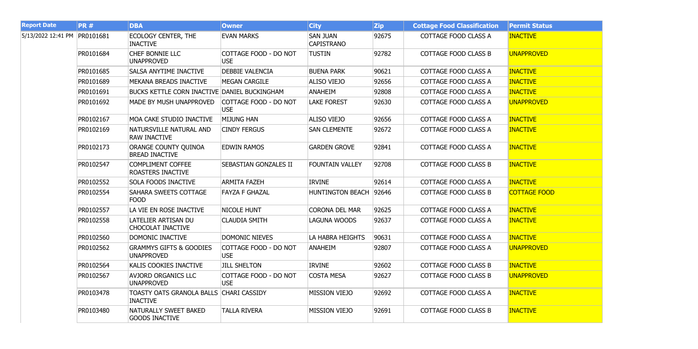| <b>Report Date</b>           | <b>PR#</b> | <b>DBA</b>                                                 | <b>Owner</b>                        | <b>City</b>                          | <b>Zip</b> | <b>Cottage Food Classification</b> | <b>Permit Status</b> |
|------------------------------|------------|------------------------------------------------------------|-------------------------------------|--------------------------------------|------------|------------------------------------|----------------------|
| 5/13/2022 12:41 PM PR0101681 |            | <b>ECOLOGY CENTER, THE</b><br><b>INACTIVE</b>              | <b>EVAN MARKS</b>                   | <b>SAN JUAN</b><br><b>CAPISTRANO</b> | 92675      | COTTAGE FOOD CLASS A               | <b>INACTIVE</b>      |
|                              | PR0101684  | CHEF BONNIE LLC<br><b>UNAPPROVED</b>                       | COTTAGE FOOD - DO NOT<br><b>USE</b> | <b>TUSTIN</b>                        | 92782      | <b>COTTAGE FOOD CLASS B</b>        | <b>UNAPPROVED</b>    |
|                              | PR0101685  | SALSA ANYTIME INACTIVE                                     | <b>DEBBIE VALENCIA</b>              | <b>BUENA PARK</b>                    | 90621      | COTTAGE FOOD CLASS A               | <b>INACTIVE</b>      |
|                              | PR0101689  | MEKANA BREADS INACTIVE                                     | <b>MEGAN CARGILE</b>                | <b>ALISO VIEJO</b>                   | 92656      | COTTAGE FOOD CLASS A               | <b>INACTIVE</b>      |
|                              | PR0101691  | BUCKS KETTLE CORN INACTIVE DANIEL BUCKINGHAM               |                                     | ANAHEIM                              | 92808      | COTTAGE FOOD CLASS A               | <b>INACTIVE</b>      |
|                              | PR0101692  | MADE BY MUSH UNAPPROVED                                    | COTTAGE FOOD - DO NOT<br><b>USE</b> | <b>LAKE FOREST</b>                   | 92630      | COTTAGE FOOD CLASS A               | <b>UNAPPROVED</b>    |
|                              | PR0102167  | MOA CAKE STUDIO INACTIVE                                   | <b>MIJUNG HAN</b>                   | <b>ALISO VIEJO</b>                   | 92656      | <b>COTTAGE FOOD CLASS A</b>        | <b>INACTIVE</b>      |
|                              | PR0102169  | NATURSVILLE NATURAL AND<br><b>RAW INACTIVE</b>             | <b>CINDY FERGUS</b>                 | <b>SAN CLEMENTE</b>                  | 92672      | COTTAGE FOOD CLASS A               | <b>INACTIVE</b>      |
|                              | PR0102173  | ORANGE COUNTY QUINOA<br><b>BREAD INACTIVE</b>              | <b>EDWIN RAMOS</b>                  | <b>GARDEN GROVE</b>                  | 92841      | COTTAGE FOOD CLASS A               | <b>INACTIVE</b>      |
|                              | PR0102547  | <b>COMPLIMENT COFFEE</b><br>ROASTERS INACTIVE              | SEBASTIAN GONZALES II               | <b>FOUNTAIN VALLEY</b>               | 92708      | <b>COTTAGE FOOD CLASS B</b>        | <b>INACTIVE</b>      |
|                              | PR0102552  | <b>SOLA FOODS INACTIVE</b>                                 | <b>ARMITA FAZEH</b>                 | <b>IRVINE</b>                        | 92614      | COTTAGE FOOD CLASS A               | <b>INACTIVE</b>      |
|                              | PR0102554  | SAHARA SWEETS COTTAGE<br><b>FOOD</b>                       | <b>FAYZA F GHAZAL</b>               | <b>HUNTINGTON BEACH</b>              | 92646      | <b>COTTAGE FOOD CLASS B</b>        | <b>COTTAGE FOOD</b>  |
|                              | PR0102557  | LA VIE EN ROSE INACTIVE                                    | NICOLE HUNT                         | <b>CORONA DEL MAR</b>                | 92625      | COTTAGE FOOD CLASS A               | <b>INACTIVE</b>      |
|                              | PR0102558  | LATELIER ARTISAN DU<br>CHOCOLAT INACTIVE                   | <b>CLAUDIA SMITH</b>                | LAGUNA WOODS                         | 92637      | COTTAGE FOOD CLASS A               | <b>INACTIVE</b>      |
|                              | PR0102560  | DOMONIC INACTIVE                                           | DOMONIC NIEVES                      | LA HABRA HEIGHTS                     | 90631      | <b>COTTAGE FOOD CLASS A</b>        | <b>INACTIVE</b>      |
|                              | PR0102562  | <b>GRAMMYS GIFTS &amp; GOODIES</b><br><b>UNAPPROVED</b>    | COTTAGE FOOD - DO NOT<br><b>USE</b> | <b>ANAHEIM</b>                       | 92807      | COTTAGE FOOD CLASS A               | <b>UNAPPROVED</b>    |
|                              | PR0102564  | KALIS COOKIES INACTIVE                                     | <b>JILL SHELTON</b>                 | <b>IRVINE</b>                        | 92602      | <b>COTTAGE FOOD CLASS B</b>        | <b>INACTIVE</b>      |
|                              | PR0102567  | <b>AVJORD ORGANICS LLC</b><br><b>UNAPPROVED</b>            | COTTAGE FOOD - DO NOT<br><b>USE</b> | <b>COSTA MESA</b>                    | 92627      | COTTAGE FOOD CLASS B               | <b>UNAPPROVED</b>    |
|                              | PR0103478  | TOASTY OATS GRANOLA BALLS CHARI CASSIDY<br><b>INACTIVE</b> |                                     | <b>MISSION VIEJO</b>                 | 92692      | COTTAGE FOOD CLASS A               | <b>INACTIVE</b>      |
|                              | PR0103480  | NATURALLY SWEET BAKED<br><b>GOODS INACTIVE</b>             | <b>TALLA RIVERA</b>                 | <b>MISSION VIEJO</b>                 | 92691      | COTTAGE FOOD CLASS B               | <b>INACTIVE</b>      |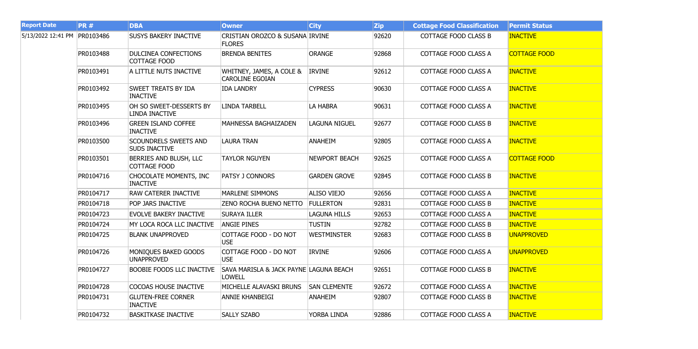| <b>Report Date</b>           | PR#       | <b>DBA</b>                                           | <b>Owner</b>                                                       | <b>City</b>          | <b>Zip</b> | <b>Cottage Food Classification</b> | <b>Permit Status</b> |
|------------------------------|-----------|------------------------------------------------------|--------------------------------------------------------------------|----------------------|------------|------------------------------------|----------------------|
| 5/13/2022 12:41 PM PR0103486 |           | <b>SUSYS BAKERY INACTIVE</b>                         | <b>CRISTIAN OROZCO &amp; SUSANA IRVINE</b><br><b>FLORES</b>        |                      | 92620      | COTTAGE FOOD CLASS B               | <b>INACTIVE</b>      |
|                              | PR0103488 | <b>DULCINEA CONFECTIONS</b><br>COTTAGE FOOD          | <b>BRENDA BENITES</b>                                              | ORANGE               | 92868      | COTTAGE FOOD CLASS A               | <b>COTTAGE FOOD</b>  |
|                              | PR0103491 | A LITTLE NUTS INACTIVE                               | WHITNEY, JAMES, A COLE &<br><b>CAROLINE EGOIAN</b>                 | <b>IRVINE</b>        | 92612      | COTTAGE FOOD CLASS A               | <b>INACTIVE</b>      |
|                              | PR0103492 | SWEET TREATS BY IDA<br><b>INACTIVE</b>               | <b>IDA LANDRY</b>                                                  | <b>CYPRESS</b>       | 90630      | COTTAGE FOOD CLASS A               | <b>INACTIVE</b>      |
|                              | PR0103495 | OH SO SWEET-DESSERTS BY<br>LINDA INACTIVE            | <b>LINDA TARBELL</b>                                               | LA HABRA             | 90631      | COTTAGE FOOD CLASS A               | <b>INACTIVE</b>      |
|                              | PR0103496 | <b>GREEN ISLAND COFFEE</b><br><b>INACTIVE</b>        | MAHNESSA BAGHAIZADEN                                               | <b>LAGUNA NIGUEL</b> | 92677      | COTTAGE FOOD CLASS B               | <b>INACTIVE</b>      |
|                              | PR0103500 | <b>SCOUNDRELS SWEETS AND</b><br><b>SUDS INACTIVE</b> | <b>LAURA TRAN</b>                                                  | <b>ANAHEIM</b>       | 92805      | COTTAGE FOOD CLASS A               | <b>INACTIVE</b>      |
|                              | PR0103501 | BERRIES AND BLUSH, LLC<br><b>COTTAGE FOOD</b>        | <b>TAYLOR NGUYEN</b>                                               | <b>NEWPORT BEACH</b> | 92625      | COTTAGE FOOD CLASS A               | <b>COTTAGE FOOD</b>  |
|                              | PR0104716 | CHOCOLATE MOMENTS, INC<br><b>INACTIVE</b>            | <b>PATSY J CONNORS</b>                                             | <b>GARDEN GROVE</b>  | 92845      | <b>COTTAGE FOOD CLASS B</b>        | <b>INACTIVE</b>      |
|                              | PR0104717 | RAW CATERER INACTIVE                                 | <b>MARLENE SIMMONS</b>                                             | <b>ALISO VIEJO</b>   | 92656      | COTTAGE FOOD CLASS A               | <b>INACTIVE</b>      |
|                              | PR0104718 | POP JARS INACTIVE                                    | <b>ZENO ROCHA BUENO NETTO</b>                                      | <b>FULLERTON</b>     | 92831      | <b>COTTAGE FOOD CLASS B</b>        | <b>INACTIVE</b>      |
|                              | PR0104723 | EVOLVE BAKERY INACTIVE                               | <b>SURAYA ILLER</b>                                                | <b>LAGUNA HILLS</b>  | 92653      | COTTAGE FOOD CLASS A               | <b>INACTIVE</b>      |
|                              | PR0104724 | MY LOCA ROCA LLC INACTIVE                            | <b>ANGIE PINES</b>                                                 | <b>TUSTIN</b>        | 92782      | <b>COTTAGE FOOD CLASS B</b>        | <b>INACTIVE</b>      |
|                              | PR0104725 | <b>BLANK UNAPPROVED</b>                              | COTTAGE FOOD - DO NOT<br><b>USE</b>                                | <b>WESTMINSTER</b>   | 92683      | <b>COTTAGE FOOD CLASS B</b>        | <b>UNAPPROVED</b>    |
|                              | PR0104726 | MONIQUES BAKED GOODS<br><b>UNAPPROVED</b>            | COTTAGE FOOD - DO NOT<br><b>USE</b>                                | <b>IRVINE</b>        | 92606      | COTTAGE FOOD CLASS A               | <b>UNAPPROVED</b>    |
|                              | PR0104727 | BOOBIE FOODS LLC INACTIVE                            | <b>SAVA MARISLA &amp; JACK PAYNE LAGUNA BEACH</b><br><b>LOWELL</b> |                      | 92651      | <b>COTTAGE FOOD CLASS B</b>        | <b>INACTIVE</b>      |
|                              | PR0104728 | COCOAS HOUSE INACTIVE                                | MICHELLE ALAVASKI BRUNS                                            | <b>SAN CLEMENTE</b>  | 92672      | COTTAGE FOOD CLASS A               | <b>INACTIVE</b>      |
|                              | PR0104731 | <b>GLUTEN-FREE CORNER</b><br><b>INACTIVE</b>         | ANNIE KHANBEIGI                                                    | ANAHEIM              | 92807      | <b>COTTAGE FOOD CLASS B</b>        | <b>INACTIVE</b>      |
|                              | PR0104732 | <b>BASKITKASE INACTIVE</b>                           | <b>SALLY SZABO</b>                                                 | YORBA LINDA          | 92886      | COTTAGE FOOD CLASS A               | <b>INACTIVE</b>      |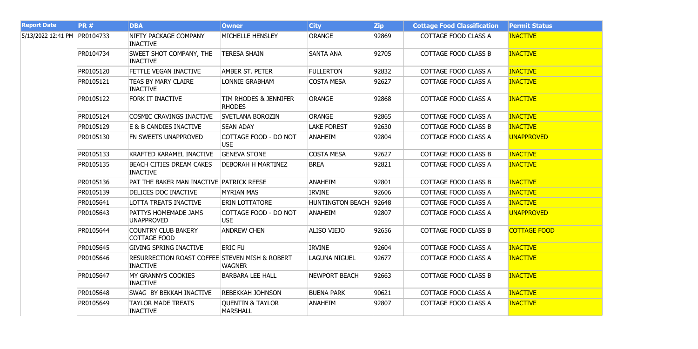| <b>Report Date</b>           | <b>PR#</b> | <b>DBA</b>                                                        | <b>Owner</b>                                   | <b>City</b>            | $ $ Zip | <b>Cottage Food Classification</b> | <b>Permit Status</b> |
|------------------------------|------------|-------------------------------------------------------------------|------------------------------------------------|------------------------|---------|------------------------------------|----------------------|
| 5/13/2022 12:41 PM PR0104733 |            | NIFTY PACKAGE COMPANY<br><b>INACTIVE</b>                          | MICHELLE HENSLEY                               | <b>ORANGE</b>          | 92869   | COTTAGE FOOD CLASS A               | <b>INACTIVE</b>      |
|                              | PR0104734  | SWEET SHOT COMPANY, THE<br><b>INACTIVE</b>                        | <b>TERESA SHAIN</b>                            | <b>SANTA ANA</b>       | 92705   | <b>COTTAGE FOOD CLASS B</b>        | <b>INACTIVE</b>      |
|                              | PR0105120  | FETTLE VEGAN INACTIVE                                             | <b>AMBER ST. PETER</b>                         | <b>FULLERTON</b>       | 92832   | COTTAGE FOOD CLASS A               | <b>INACTIVE</b>      |
|                              | PR0105121  | <b>TEAS BY MARY CLAIRE</b><br><b>INACTIVE</b>                     | LONNIE GRABHAM                                 | <b>COSTA MESA</b>      | 92627   | COTTAGE FOOD CLASS A               | <b>INACTIVE</b>      |
|                              | PR0105122  | <b>FORK IT INACTIVE</b>                                           | TIM RHODES & JENNIFER<br><b>RHODES</b>         | <b>ORANGE</b>          | 92868   | <b>COTTAGE FOOD CLASS A</b>        | <b>INACTIVE</b>      |
|                              | PR0105124  | COSMIC CRAVINGS INACTIVE                                          | <b>SVETLANA BOROZIN</b>                        | <b>ORANGE</b>          | 92865   | COTTAGE FOOD CLASS A               | <b>INACTIVE</b>      |
|                              | PR0105129  | E & B CANDIES INACTIVE                                            | <b>SEAN ADAY</b>                               | <b>LAKE FOREST</b>     | 92630   | <b>COTTAGE FOOD CLASS B</b>        | <b>INACTIVE</b>      |
|                              | PR0105130  | FN SWEETS UNAPPROVED                                              | COTTAGE FOOD - DO NOT<br><b>USE</b>            | <b>ANAHEIM</b>         | 92804   | COTTAGE FOOD CLASS A               | <b>UNAPPROVED</b>    |
|                              | PR0105133  | KRAFTED KARAMEL INACTIVE                                          | <b>GENEVA STONE</b>                            | <b>COSTA MESA</b>      | 92627   | <b>COTTAGE FOOD CLASS B</b>        | <b>INACTIVE</b>      |
|                              | PR0105135  | BEACH CITIES DREAM CAKES<br><b>INACTIVE</b>                       | <b>DEBORAH H MARTINEZ</b>                      | <b>BREA</b>            | 92821   | COTTAGE FOOD CLASS A               | <b>INACTIVE</b>      |
|                              | PR0105136  | PAT THE BAKER MAN INACTIVE PATRICK REESE                          |                                                | <b>ANAHEIM</b>         | 92801   | <b>COTTAGE FOOD CLASS B</b>        | <b>INACTIVE</b>      |
|                              | PR0105139  | DELICES DOC INACTIVE                                              | <b>MYRIAN MAS</b>                              | <b>IRVINE</b>          | 92606   | COTTAGE FOOD CLASS A               | <b>INACTIVE</b>      |
|                              | PR0105641  | LOTTA TREATS INACTIVE                                             | <b>ERIN LOTTATORE</b>                          | HUNTINGTON BEACH 92648 |         | COTTAGE FOOD CLASS A               | <b>INACTIVE</b>      |
|                              | PR0105643  | PATTYS HOMEMADE JAMS<br><b>UNAPPROVED</b>                         | COTTAGE FOOD - DO NOT<br>USE                   | ANAHEIM                | 92807   | COTTAGE FOOD CLASS A               | <b>UNAPPROVED</b>    |
|                              | PR0105644  | <b>COUNTRY CLUB BAKERY</b><br>COTTAGE FOOD                        | <b>ANDREW CHEN</b>                             | <b>ALISO VIEJO</b>     | 92656   | <b>COTTAGE FOOD CLASS B</b>        | <b>COTTAGE FOOD</b>  |
|                              | PR0105645  | <b>GIVING SPRING INACTIVE</b>                                     | <b>ERIC FU</b>                                 | <b>IRVINE</b>          | 92604   | COTTAGE FOOD CLASS A               | <b>INACTIVE</b>      |
|                              | PR0105646  | RESURRECTION ROAST COFFEE STEVEN MISH & ROBERT<br><b>INACTIVE</b> | <b>WAGNER</b>                                  | <b>LAGUNA NIGUEL</b>   | 92677   | COTTAGE FOOD CLASS A               | <b>INACTIVE</b>      |
|                              | PR0105647  | MY GRANNYS COOKIES<br><b>INACTIVE</b>                             | <b>BARBARA LEE HALL</b>                        | <b>NEWPORT BEACH</b>   | 92663   | <b>COTTAGE FOOD CLASS B</b>        | <b>INACTIVE</b>      |
|                              | PR0105648  | <b>SWAG BY BEKKAH INACTIVE</b>                                    | <b>REBEKKAH JOHNSON</b>                        | <b>BUENA PARK</b>      | 90621   | COTTAGE FOOD CLASS A               | <b>INACTIVE</b>      |
|                              | PR0105649  | <b>TAYLOR MADE TREATS</b><br><b>INACTIVE</b>                      | <b>QUENTIN &amp; TAYLOR</b><br><b>MARSHALL</b> | <b>ANAHEIM</b>         | 92807   | COTTAGE FOOD CLASS A               | <b>INACTIVE</b>      |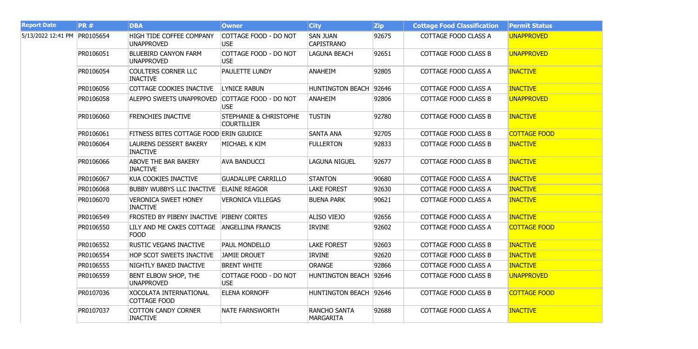| <b>Report Date</b>           | <b>PR#</b> | <b>DBA</b>                                       | <b>Owner</b>                                            | <b>City</b>                             | <b>Zip</b> | <b>Cottage Food Classification</b> | <b>Permit Status</b> |
|------------------------------|------------|--------------------------------------------------|---------------------------------------------------------|-----------------------------------------|------------|------------------------------------|----------------------|
| 5/13/2022 12:41 PM PR0105654 |            | HIGH TIDE COFFEE COMPANY<br><b>UNAPPROVED</b>    | COTTAGE FOOD - DO NOT<br><b>USE</b>                     | <b>SAN JUAN</b><br><b>CAPISTRANO</b>    | 92675      | COTTAGE FOOD CLASS A               | <b>UNAPPROVED</b>    |
|                              | PR0106051  | <b>BLUEBIRD CANYON FARM</b><br><b>UNAPPROVED</b> | COTTAGE FOOD - DO NOT<br><b>USE</b>                     | LAGUNA BEACH                            | 92651      | <b>COTTAGE FOOD CLASS B</b>        | <b>UNAPPROVED</b>    |
|                              | PR0106054  | <b>COULTERS CORNER LLC</b><br><b>INACTIVE</b>    | <b>PAULETTE LUNDY</b>                                   | <b>ANAHEIM</b>                          | 92805      | COTTAGE FOOD CLASS A               | <b>INACTIVE</b>      |
|                              | PR0106056  | COTTAGE COOKIES INACTIVE                         | <b>LYNICE RABUN</b>                                     | HUNTINGTON BEACH 92646                  |            | COTTAGE FOOD CLASS A               | <b>INACTIVE</b>      |
|                              | PR0106058  | ALEPPO SWEETS UNAPPROVED                         | COTTAGE FOOD - DO NOT<br><b>USE</b>                     | <b>ANAHEIM</b>                          | 92806      | <b>COTTAGE FOOD CLASS B</b>        | <b>UNAPPROVED</b>    |
|                              | PR0106060  | FRENCHIES INACTIVE                               | <b>STEPHANIE &amp; CHRISTOPHE</b><br><b>COURTILLIER</b> | <b>TUSTIN</b>                           | 92780      | <b>COTTAGE FOOD CLASS B</b>        | <b>INACTIVE</b>      |
|                              | PR0106061  | FITNESS BITES COTTAGE FOOD ERIN GIUDICE          |                                                         | <b>SANTA ANA</b>                        | 92705      | <b>COTTAGE FOOD CLASS B</b>        | <b>COTTAGE FOOD</b>  |
|                              | PR0106064  | LAURENS DESSERT BAKERY<br><b>INACTIVE</b>        | MICHAEL K KIM                                           | <b>FULLERTON</b>                        | 92833      | <b>COTTAGE FOOD CLASS B</b>        | <b>INACTIVE</b>      |
|                              | PR0106066  | ABOVE THE BAR BAKERY<br><b>INACTIVE</b>          | <b>AVA BANDUCCI</b>                                     | LAGUNA NIGUEL                           | 92677      | <b>COTTAGE FOOD CLASS B</b>        | <b>INACTIVE</b>      |
|                              | PR0106067  | KUA COOKIES INACTIVE                             | <b>GUADALUPE CARRILLO</b>                               | <b>STANTON</b>                          | 90680      | COTTAGE FOOD CLASS A               | <b>INACTIVE</b>      |
|                              | PR0106068  | BUBBY WUBBYS LLC INACTIVE                        | <b>ELAINE REAGOR</b>                                    | <b>LAKE FOREST</b>                      | 92630      | COTTAGE FOOD CLASS A               | <b>INACTIVE</b>      |
|                              | PR0106070  | <b>VERONICA SWEET HONEY</b><br><b>INACTIVE</b>   | <b>VERONICA VILLEGAS</b>                                | <b>BUENA PARK</b>                       | 90621      | COTTAGE FOOD CLASS A               | <b>INACTIVE</b>      |
|                              | PR0106549  | FROSTED BY PIBENY INACTIVE PIBENY CORTES         |                                                         | <b>ALISO VIEJO</b>                      | 92656      | COTTAGE FOOD CLASS A               | <b>INACTIVE</b>      |
|                              | PR0106550  | LILY AND ME CAKES COTTAGE<br><b>FOOD</b>         | <b>ANGELLINA FRANCIS</b>                                | <b>IRVINE</b>                           | 92602      | COTTAGE FOOD CLASS A               | <b>COTTAGE FOOD</b>  |
|                              | PR0106552  | <b>RUSTIC VEGANS INACTIVE</b>                    | <b>PAUL MONDELLO</b>                                    | <b>LAKE FOREST</b>                      | 92603      | <b>COTTAGE FOOD CLASS B</b>        | <b>INACTIVE</b>      |
|                              | PR0106554  | HOP SCOT SWEETS INACTIVE                         | <b>JAMIE DROUET</b>                                     | <b>IRVINE</b>                           | 92620      | <b>COTTAGE FOOD CLASS B</b>        | <b>INACTIVE</b>      |
|                              | PR0106555  | NIGHTLY BAKED INACTIVE                           | <b>BRENT WHITE</b>                                      | <b>ORANGE</b>                           | 92866      | <b>COTTAGE FOOD CLASS A</b>        | <b>INACTIVE</b>      |
|                              | PR0106559  | BENT ELBOW SHOP, THE<br><b>UNAPPROVED</b>        | COTTAGE FOOD - DO NOT<br><b>USE</b>                     | HUNTINGTON BEACH   92646                |            | COTTAGE FOOD CLASS B               | <b>UNAPPROVED</b>    |
|                              | PR0107036  | XOCOLATA INTERNATIONAL<br>COTTAGE FOOD           | <b>ELENA KORNOFF</b>                                    | HUNTINGTON BEACH 92646                  |            | <b>COTTAGE FOOD CLASS B</b>        | <b>COTTAGE FOOD</b>  |
|                              | PR0107037  | <b>COTTON CANDY CORNER</b><br><b>INACTIVE</b>    | <b>NATE FARNSWORTH</b>                                  | <b>RANCHO SANTA</b><br><b>MARGARITA</b> | 92688      | COTTAGE FOOD CLASS A               | <b>INACTIVE</b>      |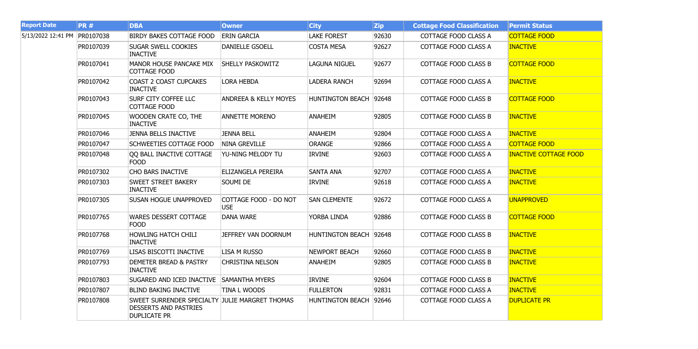| <b>Report Date</b>           | <b>PR#</b> | <b>DBA</b>                                                                                            | <b>Owner</b>                        | <b>City</b>             | <b>Zip</b> | <b>Cottage Food Classification</b> | <b>Permit Status</b>         |
|------------------------------|------------|-------------------------------------------------------------------------------------------------------|-------------------------------------|-------------------------|------------|------------------------------------|------------------------------|
| 5/13/2022 12:41 PM PR0107038 |            | <b>BIRDY BAKES COTTAGE FOOD</b>                                                                       | <b>ERIN GARCIA</b>                  | <b>LAKE FOREST</b>      | 92630      | COTTAGE FOOD CLASS A               | <b>COTTAGE FOOD</b>          |
|                              | PR0107039  | <b>SUGAR SWELL COOKIES</b><br><b>INACTIVE</b>                                                         | <b>DANIELLE GSOELL</b>              | <b>COSTA MESA</b>       | 92627      | COTTAGE FOOD CLASS A               | <b>INACTIVE</b>              |
|                              | PR0107041  | <b>MANOR HOUSE PANCAKE MIX</b><br><b>COTTAGE FOOD</b>                                                 | <b>SHELLY PASKOWITZ</b>             | <b>LAGUNA NIGUEL</b>    | 92677      | <b>COTTAGE FOOD CLASS B</b>        | <b>COTTAGE FOOD</b>          |
|                              | PR0107042  | <b>COAST 2 COAST CUPCAKES</b><br><b>INACTIVE</b>                                                      | <b>LORA HEBDA</b>                   | <b>LADERA RANCH</b>     | 92694      | COTTAGE FOOD CLASS A               | <b>INACTIVE</b>              |
|                              | PR0107043  | <b>SURF CITY COFFEE LLC</b><br>COTTAGE FOOD                                                           | <b>ANDREEA &amp; KELLY MOYES</b>    | <b>HUNTINGTON BEACH</b> | 92648      | <b>COTTAGE FOOD CLASS B</b>        | <b>COTTAGE FOOD</b>          |
|                              | PR0107045  | WOODEN CRATE CO, THE<br><b>INACTIVE</b>                                                               | <b>ANNETTE MORENO</b>               | <b>ANAHEIM</b>          | 92805      | COTTAGE FOOD CLASS B               | <b>INACTIVE</b>              |
|                              | PR0107046  | <b>JENNA BELLS INACTIVE</b>                                                                           | <b>JENNA BELL</b>                   | <b>ANAHEIM</b>          | 92804      | <b>COTTAGE FOOD CLASS A</b>        | <b>INACTIVE</b>              |
|                              | PR0107047  | <b>SCHWEETIES COTTAGE FOOD</b>                                                                        | <b>NINA GREVILLE</b>                | <b>ORANGE</b>           | 92866      | COTTAGE FOOD CLASS A               | <b>COTTAGE FOOD</b>          |
|                              | PR0107048  | QQ BALL INACTIVE COTTAGE<br><b>FOOD</b>                                                               | YU-NING MELODY TU                   | <b>IRVINE</b>           | 92603      | COTTAGE FOOD CLASS A               | <b>INACTIVE COTTAGE FOOD</b> |
|                              | PR0107302  | CHO BARS INACTIVE                                                                                     | ELIZANGELA PEREIRA                  | <b>SANTA ANA</b>        | 92707      | <b>COTTAGE FOOD CLASS A</b>        | <b>INACTIVE</b>              |
|                              | PR0107303  | <b>SWEET STREET BAKERY</b><br><b>INACTIVE</b>                                                         | SOUMI DE                            | <b>IRVINE</b>           | 92618      | COTTAGE FOOD CLASS A               | <b>INACTIVE</b>              |
|                              | PR0107305  | <b>SUSAN HOGUE UNAPPROVED</b>                                                                         | COTTAGE FOOD - DO NOT<br><b>USE</b> | <b>SAN CLEMENTE</b>     | 92672      | COTTAGE FOOD CLASS A               | <b>UNAPPROVED</b>            |
|                              | PR0107765  | <b>WARES DESSERT COTTAGE</b><br><b>FOOD</b>                                                           | <b>DANA WARE</b>                    | YORBA LINDA             | 92886      | <b>COTTAGE FOOD CLASS B</b>        | <b>COTTAGE FOOD</b>          |
|                              | PR0107768  | <b>HOWLING HATCH CHILI</b><br><b>INACTIVE</b>                                                         | JEFFREY VAN DOORNUM                 | <b>HUNTINGTON BEACH</b> | 92648      | <b>COTTAGE FOOD CLASS B</b>        | <b>INACTIVE</b>              |
|                              | PR0107769  | LISAS BISCOTTI INACTIVE                                                                               | <b>LISA M RUSSO</b>                 | <b>NEWPORT BEACH</b>    | 92660      | <b>COTTAGE FOOD CLASS B</b>        | <b>INACTIVE</b>              |
|                              | PR0107793  | <b>DEMETER BREAD &amp; PASTRY</b><br><b>INACTIVE</b>                                                  | <b>CHRISTINA NELSON</b>             | <b>ANAHEIM</b>          | 92805      | <b>COTTAGE FOOD CLASS B</b>        | <b>INACTIVE</b>              |
|                              | PR0107803  | SUGARED AND ICED INACTIVE SAMANTHA MYERS                                                              |                                     | <b>IRVINE</b>           | 92604      | <b>COTTAGE FOOD CLASS B</b>        | <b>INACTIVE</b>              |
|                              | PR0107807  | <b>BLIND BAKING INACTIVE</b>                                                                          | TINA L WOODS                        | <b>FULLERTON</b>        | 92831      | <b>COTTAGE FOOD CLASS A</b>        | <b>INACTIVE</b>              |
|                              | PR0107808  | SWEET SURRENDER SPECIALTY JULIE MARGRET THOMAS<br><b>DESSERTS AND PASTRIES</b><br><b>DUPLICATE PR</b> |                                     | <b>HUNTINGTON BEACH</b> | 92646      | COTTAGE FOOD CLASS A               | <b>DUPLICATE PR</b>          |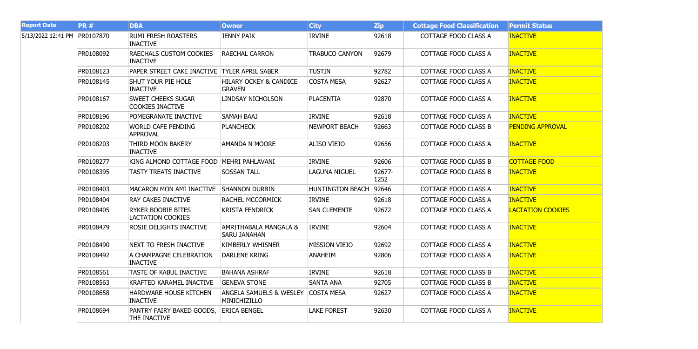| <b>Report Date</b>           | <b>PR#</b> | <b>DBA</b>                                            | <b>Owner</b>                                            | <b>City</b>             | <b>Zip</b>     | <b>Cottage Food Classification</b> | <b>Permit Status</b>     |
|------------------------------|------------|-------------------------------------------------------|---------------------------------------------------------|-------------------------|----------------|------------------------------------|--------------------------|
| 5/13/2022 12:41 PM PR0107870 |            | <b>RUMI FRESH ROASTERS</b><br><b>INACTIVE</b>         | <b>JENNY PAIK</b>                                       | <b>IRVINE</b>           | 92618          | COTTAGE FOOD CLASS A               | <b>INACTIVE</b>          |
|                              | PR0108092  | <b>RAECHALS CUSTOM COOKIES</b><br><b>INACTIVE</b>     | <b>RAECHAL CARRON</b>                                   | <b>TRABUCO CANYON</b>   | 92679          | <b>COTTAGE FOOD CLASS A</b>        | <b>INACTIVE</b>          |
|                              | PR0108123  | PAPER STREET CAKE INACTIVE TYLER APRIL SABER          |                                                         | <b>TUSTIN</b>           | 92782          | COTTAGE FOOD CLASS A               | <b>INACTIVE</b>          |
|                              | PR0108145  | SHUT YOUR PIE HOLE<br><b>INACTIVE</b>                 | <b>HILARY OCKEY &amp; CANDICE</b><br><b>GRAVEN</b>      | <b>COSTA MESA</b>       | 92627          | <b>COTTAGE FOOD CLASS A</b>        | <b>INACTIVE</b>          |
|                              | PR0108167  | <b>SWEET CHEEKS SUGAR</b><br><b>COOKIES INACTIVE</b>  | LINDSAY NICHOLSON                                       | <b>PLACENTIA</b>        | 92870          | COTTAGE FOOD CLASS A               | <b>INACTIVE</b>          |
|                              | PR0108196  | POMEGRANATE INACTIVE                                  | SAMAH BAAJ                                              | <b>IRVINE</b>           | 92618          | COTTAGE FOOD CLASS A               | <b>INACTIVE</b>          |
|                              | PR0108202  | <b>WORLD CAFE PENDING</b><br><b>APPROVAL</b>          | <b>PLANCHECK</b>                                        | <b>NEWPORT BEACH</b>    | 92663          | <b>COTTAGE FOOD CLASS B</b>        | <b>PENDING APPROVAL</b>  |
|                              | PR0108203  | THIRD MOON BAKERY<br><b>INACTIVE</b>                  | <b>AMANDA N MOORE</b>                                   | <b>ALISO VIEJO</b>      | 92656          | COTTAGE FOOD CLASS A               | <b>INACTIVE</b>          |
|                              | PR0108277  | KING ALMOND COTTAGE FOOD                              | MEHRI PAHLAVANI                                         | <b>IRVINE</b>           | 92606          | <b>COTTAGE FOOD CLASS B</b>        | <b>COTTAGE FOOD</b>      |
|                              | PR0108395  | <b>TASTY TREATS INACTIVE</b>                          | <b>SOSSAN TALL</b>                                      | <b>LAGUNA NIGUEL</b>    | 92677-<br>1252 | <b>COTTAGE FOOD CLASS B</b>        | <b>INACTIVE</b>          |
|                              | PR0108403  | <b>MACARON MON AMI INACTIVE</b>                       | <b>SHANNON DURBIN</b>                                   | <b>HUNTINGTON BEACH</b> | 92646          | COTTAGE FOOD CLASS A               | <b>INACTIVE</b>          |
|                              | PR0108404  | <b>RAY CAKES INACTIVE</b>                             | <b>RACHEL MCCORMICK</b>                                 | <b>IRVINE</b>           | 92618          | COTTAGE FOOD CLASS A               | <b>INACTIVE</b>          |
|                              | PR0108405  | <b>RYKER BOOBIE BITES</b><br><b>LACTATION COOKIES</b> | <b>KRISTA FENDRICK</b>                                  | <b>SAN CLEMENTE</b>     | 92672          | COTTAGE FOOD CLASS A               | <b>LACTATION COOKIES</b> |
|                              | PR0108479  | <b>ROSIE DELIGHTS INACTIVE</b>                        | <b>AMRITHABALA MANGALA &amp;</b><br><b>SARU JANAHAN</b> | <b>IRVINE</b>           | 92604          | COTTAGE FOOD CLASS A               | <b>INACTIVE</b>          |
|                              | PR0108490  | <b>NEXT TO FRESH INACTIVE</b>                         | <b>KIMBERLY WHISNER</b>                                 | <b>MISSION VIEJO</b>    | 92692          | COTTAGE FOOD CLASS A               | <b>INACTIVE</b>          |
|                              | PR0108492  | A CHAMPAGNE CELEBRATION<br><b>INACTIVE</b>            | <b>DARLENE KRING</b>                                    | <b>ANAHEIM</b>          | 92806          | COTTAGE FOOD CLASS A               | <b>INACTIVE</b>          |
|                              | PR0108561  | TASTE OF KABUL INACTIVE                               | <b>BAHANA ASHRAF</b>                                    | <b>IRVINE</b>           | 92618          | COTTAGE FOOD CLASS B               | <b>INACTIVE</b>          |
|                              | PR0108563  | KRAFTED KARAMEL INACTIVE                              | <b>GENEVA STONE</b>                                     | <b>SANTA ANA</b>        | 92705          | <b>COTTAGE FOOD CLASS B</b>        | <b>INACTIVE</b>          |
|                              | PR0108658  | <b>HARDWARE HOUSE KITCHEN</b><br><b>INACTIVE</b>      | <b>ANGELA SAMUELS &amp; WESLEY</b><br>MINICHIZILLO      | <b>COSTA MESA</b>       | 92627          | COTTAGE FOOD CLASS A               | <b>INACTIVE</b>          |
|                              | PR0108694  | PANTRY FAIRY BAKED GOODS,<br>THE INACTIVE             | <b>ERICA BENGEL</b>                                     | <b>LAKE FOREST</b>      | 92630          | COTTAGE FOOD CLASS A               | <b>INACTIVE</b>          |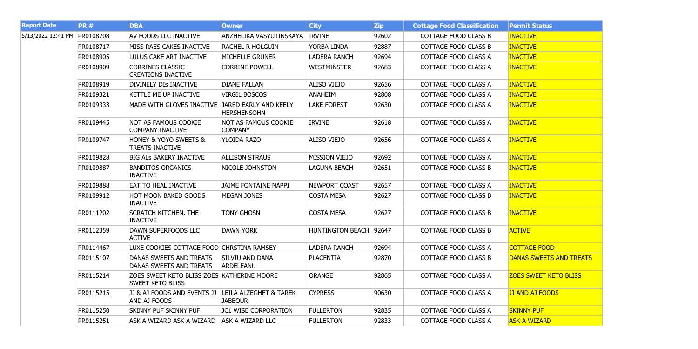| <b>Report Date</b>           | <b>PR#</b> | <b>DBA</b>                                                            | <b>Owner</b>                                        | <b>City</b>             | <b>Zip</b> | <b>Cottage Food Classification</b> | <b>Permit Status</b>           |
|------------------------------|------------|-----------------------------------------------------------------------|-----------------------------------------------------|-------------------------|------------|------------------------------------|--------------------------------|
| 5/13/2022 12:41 PM PR0108708 |            | AV FOODS LLC INACTIVE                                                 | ANZHELIKA VASYUTINSKAYA                             | <b>IRVINE</b>           | 92602      | <b>COTTAGE FOOD CLASS B</b>        | <b>INACTIVE</b>                |
|                              | PR0108717  | MISS RAES CAKES INACTIVE                                              | <b>RACHEL R HOLGUIN</b>                             | YORBA LINDA             | 92887      | <b>COTTAGE FOOD CLASS B</b>        | <b>INACTIVE</b>                |
|                              | PR0108905  | LULUS CAKE ART INACTIVE                                               | MICHELLE GRUNER                                     | LADERA RANCH            | 92694      | COTTAGE FOOD CLASS A               | <b>INACTIVE</b>                |
|                              | PR0108909  | <b>CORRINES CLASSIC</b><br><b>CREATIONS INACTIVE</b>                  | <b>CORRINE POWELL</b>                               | <b>WESTMINSTER</b>      | 92683      | COTTAGE FOOD CLASS A               | <b>INACTIVE</b>                |
|                              | PR0108919  | DIVINELY DIS INACTIVE                                                 | <b>DIANE FALLAN</b>                                 | <b>ALISO VIEJO</b>      | 92656      | COTTAGE FOOD CLASS A               | <b>INACTIVE</b>                |
|                              | PR0109321  | KETTLE ME UP INACTIVE                                                 | <b>VIRGIL BOSCOS</b>                                | <b>ANAHEIM</b>          | 92808      | <b>COTTAGE FOOD CLASS A</b>        | <b>INACTIVE</b>                |
|                              | PR0109333  | MADE WITH GLOVES INACTIVE                                             | JARED EARLY AND KEELY<br><b>HERSHENSOHN</b>         | <b>LAKE FOREST</b>      | 92630      | COTTAGE FOOD CLASS A               | <b>INACTIVE</b>                |
|                              | PR0109445  | NOT AS FAMOUS COOKIE<br><b>COMPANY INACTIVE</b>                       | NOT AS FAMOUS COOKIE<br><b>COMPANY</b>              | <b>IRVINE</b>           | 92618      | COTTAGE FOOD CLASS A               | <b>INACTIVE</b>                |
|                              | PR0109747  | <b>HONEY &amp; YOYO SWEETS &amp;</b><br>TREATS INACTIVE               | YLOIDA RAZO                                         | <b>ALISO VIEJO</b>      | 92656      | COTTAGE FOOD CLASS A               | <b>INACTIVE</b>                |
|                              | PR0109828  | <b>BIG ALS BAKERY INACTIVE</b>                                        | <b>ALLISON STRAUS</b>                               | <b>MISSION VIEJO</b>    | 92692      | <b>COTTAGE FOOD CLASS A</b>        | <b>INACTIVE</b>                |
|                              | PR0109887  | <b>BANDITOS ORGANICS</b><br><b>INACTIVE</b>                           | NICOLE JOHNSTON                                     | LAGUNA BEACH            | 92651      | <b>COTTAGE FOOD CLASS B</b>        | <b>INACTIVE</b>                |
|                              | PR0109888  | EAT TO HEAL INACTIVE                                                  | <b>JAIME FONTAINE NAPPI</b>                         | <b>NEWPORT COAST</b>    | 92657      | <b>COTTAGE FOOD CLASS A</b>        | <b>INACTIVE</b>                |
|                              | PR0109912  | <b>HOT MOON BAKED GOODS</b><br><b>INACTIVE</b>                        | <b>MEGAN JONES</b>                                  | <b>COSTA MESA</b>       | 92627      | <b>COTTAGE FOOD CLASS B</b>        | <b>INACTIVE</b>                |
|                              | PR0111202  | <b>SCRATCH KITCHEN, THE</b><br><b>INACTIVE</b>                        | <b>TONY GHOSN</b>                                   | <b>COSTA MESA</b>       | 92627      | <b>COTTAGE FOOD CLASS B</b>        | <b>INACTIVE</b>                |
|                              | PR0112359  | DAWN SUPERFOODS LLC<br><b>ACTIVE</b>                                  | <b>DAWN YORK</b>                                    | <b>HUNTINGTON BEACH</b> | 92647      | <b>COTTAGE FOOD CLASS B</b>        | <b>ACTIVE</b>                  |
|                              | PR0114467  | LUXE COOKIES COTTAGE FOOD CHRSTINA RAMSEY                             |                                                     | <b>LADERA RANCH</b>     | 92694      | <b>COTTAGE FOOD CLASS A</b>        | <b>COTTAGE FOOD</b>            |
|                              | PR0115107  | DANAS SWEETS AND TREATS<br>DANAS SWEETS AND TREATS                    | <b>SILVIU AND DANA</b><br><b>ARDELEANU</b>          | <b>PLACENTIA</b>        | 92870      | COTTAGE FOOD CLASS B               | <b>DANAS SWEETS AND TREATS</b> |
|                              | PR0115214  | ZOES SWEET KETO BLISS ZOES KATHERINE MOORE<br><b>SWEET KETO BLISS</b> |                                                     | <b>ORANGE</b>           | 92865      | COTTAGE FOOD CLASS A               | <b>ZOES SWEET KETO BLISS</b>   |
|                              | PR0115215  | JJ & AJ FOODS AND EVENTS JJ<br>AND AJ FOODS                           | <b>LEILA ALZEGHET &amp; TAREK</b><br><b>JABBOUR</b> | <b>CYPRESS</b>          | 90630      | COTTAGE FOOD CLASS A               | <b>JJ AND AJ FOODS</b>         |
|                              | PR0115250  | SKINNY PUF SKINNY PUF                                                 | JC1 WISE CORPORATION                                | <b>FULLERTON</b>        | 92835      | COTTAGE FOOD CLASS A               | <b>SKINNY PUF</b>              |
|                              | PR0115251  | ASK A WIZARD ASK A WIZARD                                             | <b>ASK A WIZARD LLC</b>                             | <b>FULLERTON</b>        | 92833      | COTTAGE FOOD CLASS A               | <b>ASK A WIZARD</b>            |